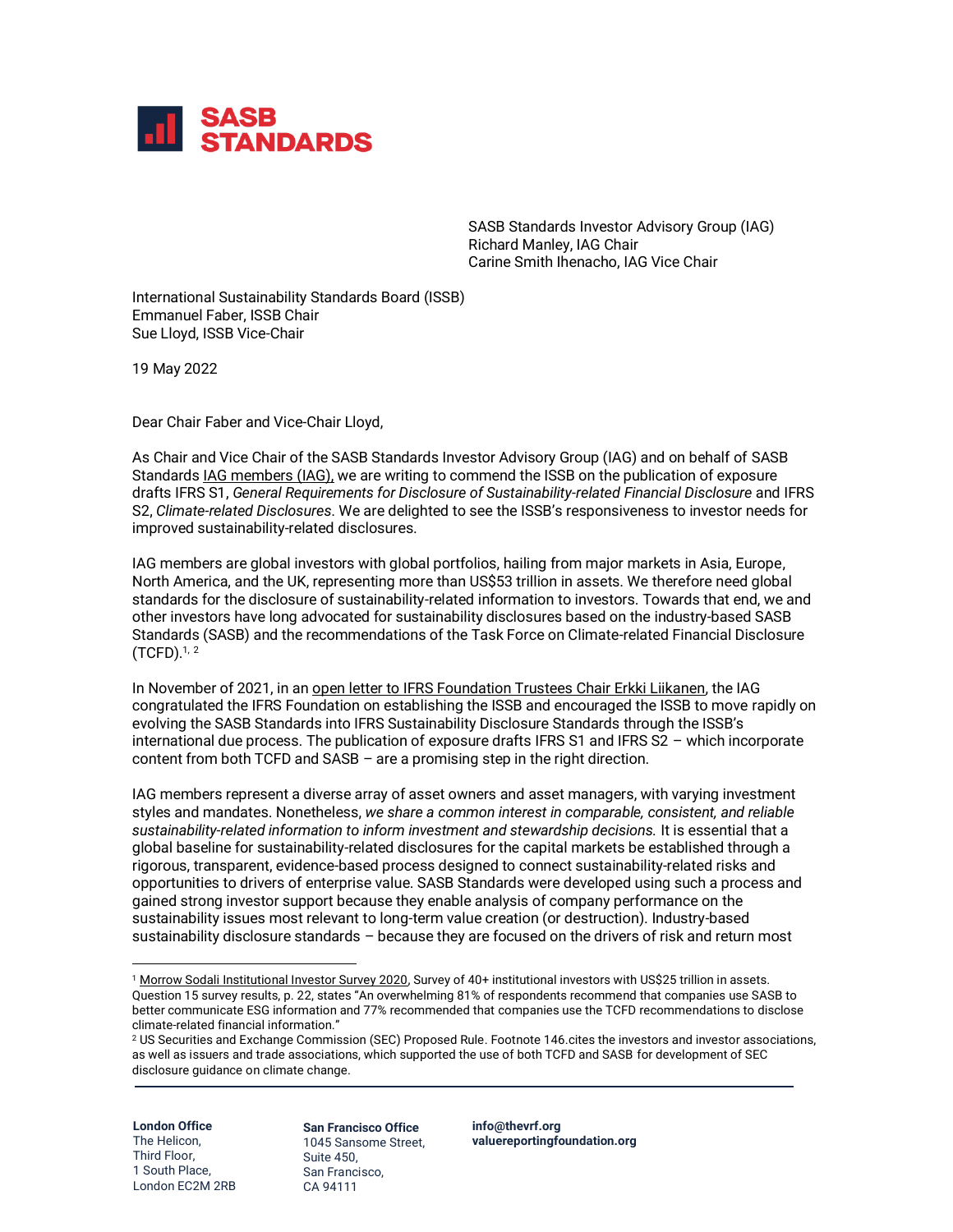

SASB Standards Investor Advisory Group (IAG) Richard Manley, IAG Chair Carine Smith Ihenacho, IAG Vice Chair

International Sustainability Standards Board (ISSB) Emmanuel Faber, ISSB Chair Sue Lloyd, ISSB Vice-Chair

19 May 2022

Dear Chair Faber and Vice-Chair Lloyd,

As Chair and Vice Chair of the SASB Standards Investor Advisory Group (IAG) and on behalf of SASB Standard[s IAG members](https://www.sasb.org/investor-use/supporters/) (IAG), we are writing to commend the ISSB on the publication of exposure drafts IFRS S1, *General Requirements for Disclosure of Sustainability-related Financial Disclosure* and IFRS S2, *Climate-related Disclosures*. We are delighted to see the ISSB's responsiveness to investor needs for improved sustainability-related disclosures.

IAG members are global investors with global portfolios, hailing from major markets in Asia, Europe, North America, and the UK, representing more than US\$53 trillion in assets. We therefore need global standards for the disclosure of sustainability-related information to investors. Towards that end, we and other investors have long advocated for sustainability disclosures based on the industry-based SASB Standards (SASB) and the recommendations of the Task Force on Climate-related Financial Disclosure (TCFD). 1, 2

In November of 2021, in a[n open letter to IFRS Foundation Trustees Chair Erkki Liikanen,](https://www.sasb.org/wp-content/uploads/2021/11/IAG-Open-Letter-Final-for-Web.pdf) the IAG congratulated the IFRS Foundation on establishing the ISSB and encouraged the ISSB to move rapidly on evolving the SASB Standards into IFRS Sustainability Disclosure Standards through the ISSB's international due process. The publication of exposure drafts IFRS S1 and IFRS S2 - which incorporate content from both TCFD and SASB – are a promising step in the right direction.

IAG members represent a diverse array of asset owners and asset managers, with varying investment styles and mandates. Nonetheless, *we share a common interest in comparable, consistent, and reliable sustainability-related information to inform investment and stewardship decisions.* It is essential that a global baseline for sustainability-related disclosures for the capital markets be established through a rigorous, transparent, evidence-based process designed to connect sustainability-related risks and opportunities to drivers of enterprise value. SASB Standards were developed using such a process and gained strong investor support because they enable analysis of company performance on the sustainability issues most relevant to long-term value creation (or destruction). Industry-based sustainability disclosure standards – because they are focused on the drivers of risk and return most

**London Office** The Helicon, Third Floor, 1 South Place, London EC2M 2RB **San Francisco Office** 1045 Sansome Street, Suite 450, San Francisco, CA 94111

**[info@thevrf.org](mailto:info@thevrf.org) [valuereportingfoundation.org](http://www.valuereportingfoundation.org/)**

<sup>&</sup>lt;sup>1</sup> [Morrow Sodali Institutional Investor Survey 2020,](https://morrowsodali.com/uploads/insights/attachments/83713c2789adc52b596dda1ae1a79fc2.pdf) Survey of 40+ institutional investors with US\$25 trillion in assets. Question 15 survey results, p. 22, states "An overwhelming 81% of respondents recommend that companies use SASB to better communicate ESG information and 77% recommended that companies use the TCFD recommendations to disclose climate-related financial information."

<sup>2</sup> US Securities and Exchange Commission (SEC) Proposed Rule. Footnote 146.cites the investors and investor associations, as well as issuers and trade associations, which supported the use of both TCFD and SASB for development of SEC disclosure guidance on climate change.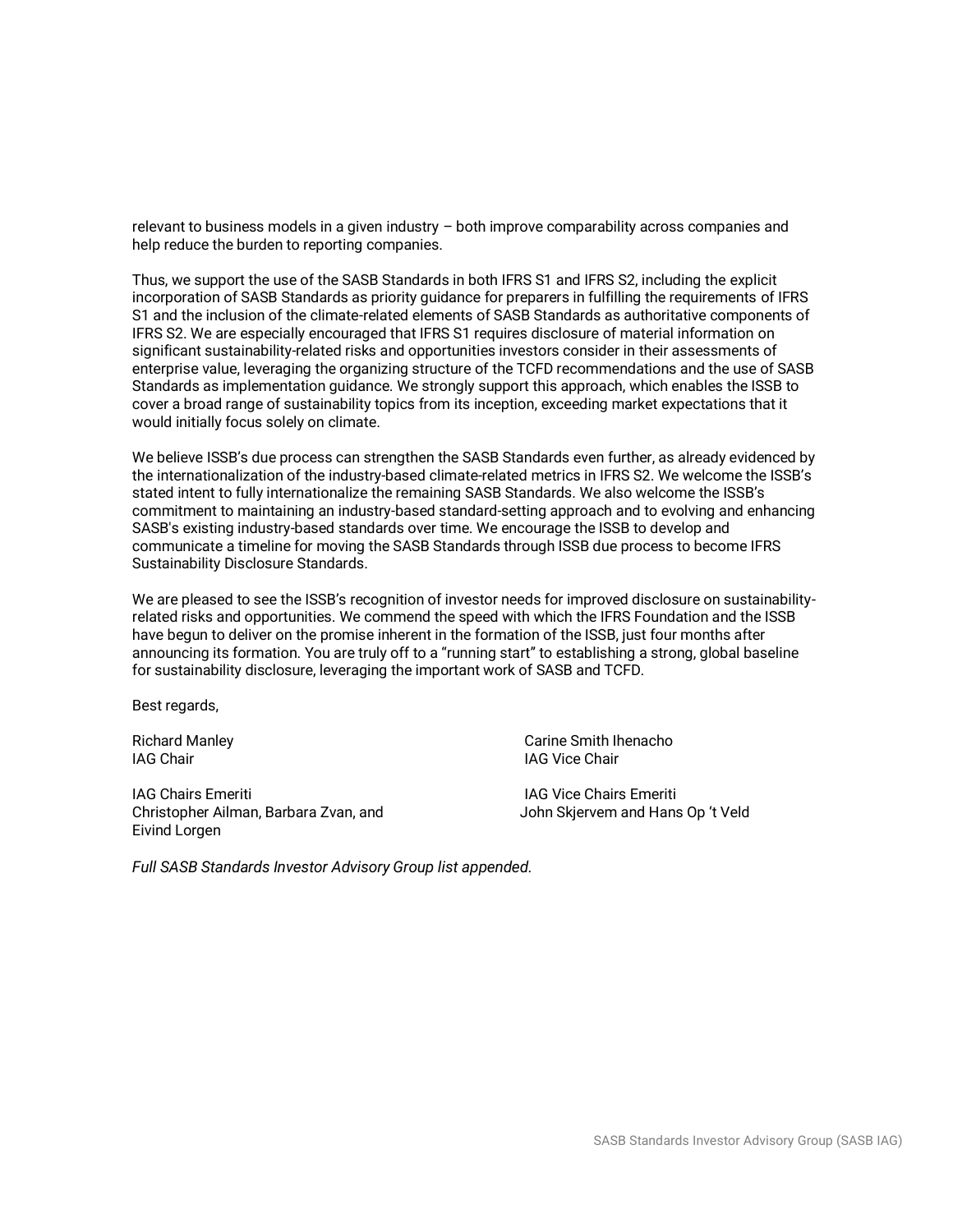relevant to business models in a given industry – both improve comparability across companies and help reduce the burden to reporting companies.

Thus, we support the use of the SASB Standards in both IFRS S1 and IFRS S2, including the explicit incorporation of SASB Standards as priority guidance for preparers in fulfilling the requirements of IFRS S1 and the inclusion of the climate-related elements of SASB Standards as authoritative components of IFRS S2. We are especially encouraged that IFRS S1 requires disclosure of material information on significant sustainability-related risks and opportunities investors consider in their assessments of enterprise value, leveraging the organizing structure of the TCFD recommendations and the use of SASB Standards as implementation guidance. We strongly support this approach, which enables the ISSB to cover a broad range of sustainability topics from its inception, exceeding market expectations that it would initially focus solely on climate.

We believe ISSB's due process can strengthen the SASB Standards even further, as already evidenced by the internationalization of the industry-based climate-related metrics in IFRS S2. We welcome the ISSB's stated intent to fully internationalize the remaining SASB Standards. We also welcome the ISSB's commitment to maintaining an industry-based standard-setting approach and to evolving and enhancing SASB's existing industry-based standards over time. We encourage the ISSB to develop and communicate a timeline for moving the SASB Standards through ISSB due process to become IFRS Sustainability Disclosure Standards.

We are pleased to see the ISSB's recognition of investor needs for improved disclosure on sustainabilityrelated risks and opportunities. We commend the speed with which the IFRS Foundation and the ISSB have begun to deliver on the promise inherent in the formation of the ISSB, just four months after announcing its formation. You are truly off to a "running start" to establishing a strong, global baseline for sustainability disclosure, leveraging the important work of SASB and TCFD.

Best regards,

**IAG Chair IAG Vice Chair** 

**IAG Chairs Emeriti IAG Vice Chairs Emeriti IAG Vice Chairs Emeriti** Christopher Ailman, Barbara Zvan, and John Skjervem and Hans Op 't Veld Eivind Lorgen

Richard Manley **Carine Smith Ihenacho** Carine Smith Ihenacho

*Full SASB Standards Investor Advisory Group list appended.*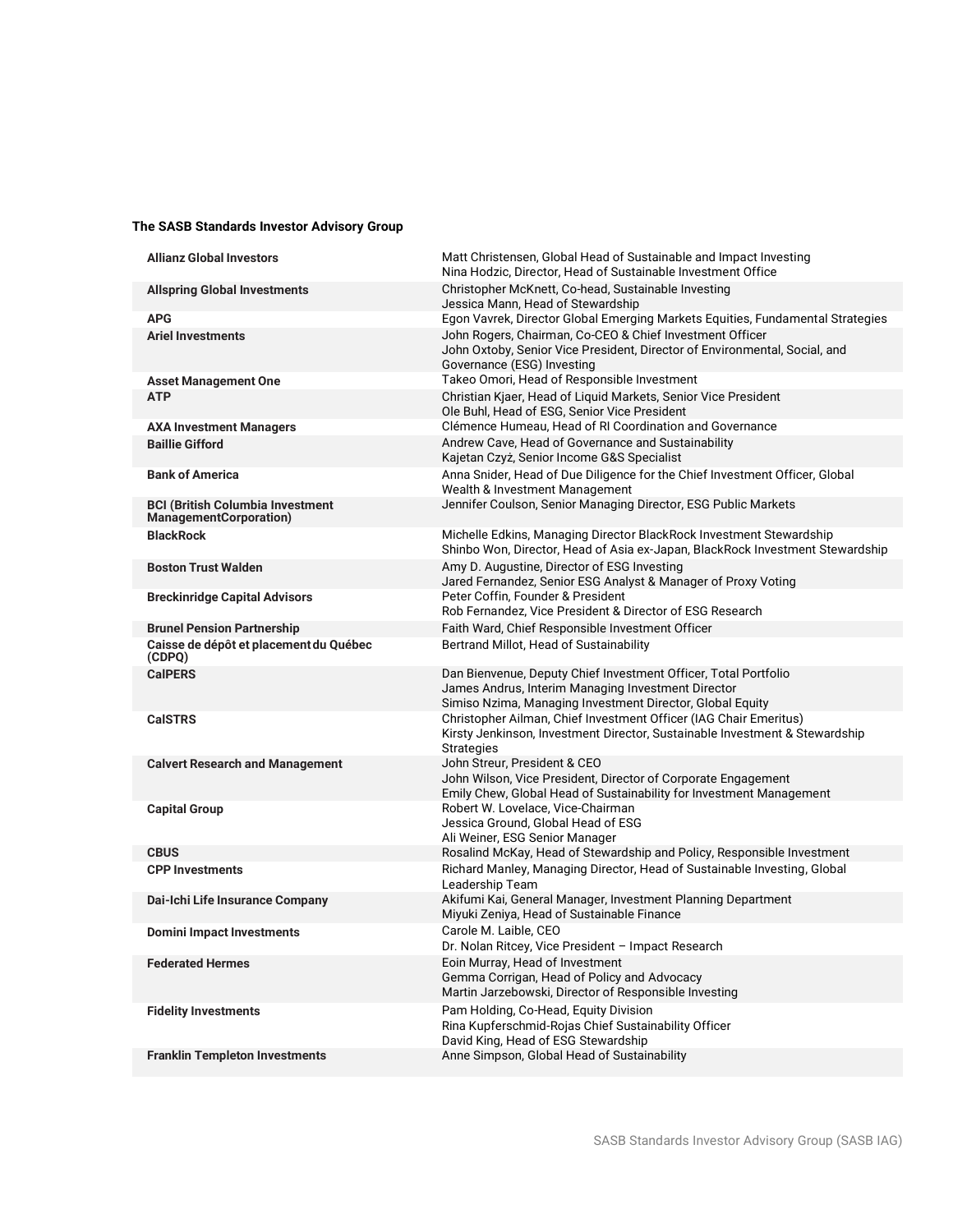## **The SASB Standards Investor Advisory Group**

| <b>Allianz Global Investors</b>                                          | Matt Christensen, Global Head of Sustainable and Impact Investing<br>Nina Hodzic, Director, Head of Sustainable Investment Office                                                  |
|--------------------------------------------------------------------------|------------------------------------------------------------------------------------------------------------------------------------------------------------------------------------|
| <b>Allspring Global Investments</b>                                      | Christopher McKnett, Co-head, Sustainable Investing<br>Jessica Mann, Head of Stewardship                                                                                           |
| <b>APG</b>                                                               | Egon Vavrek, Director Global Emerging Markets Equities, Fundamental Strategies                                                                                                     |
| <b>Ariel Investments</b>                                                 | John Rogers, Chairman, Co-CEO & Chief Investment Officer<br>John Oxtoby, Senior Vice President, Director of Environmental, Social, and<br>Governance (ESG) Investing               |
| <b>Asset Management One</b>                                              | Takeo Omori, Head of Responsible Investment                                                                                                                                        |
| <b>ATP</b>                                                               | Christian Kjaer, Head of Liquid Markets, Senior Vice President<br>Ole Buhl, Head of ESG, Senior Vice President                                                                     |
| <b>AXA Investment Managers</b>                                           | Clémence Humeau, Head of RI Coordination and Governance                                                                                                                            |
| <b>Baillie Gifford</b>                                                   | Andrew Cave, Head of Governance and Sustainability<br>Kajetan Czyż, Senior Income G&S Specialist                                                                                   |
| <b>Bank of America</b>                                                   | Anna Snider, Head of Due Diligence for the Chief Investment Officer, Global<br>Wealth & Investment Management                                                                      |
| <b>BCI (British Columbia Investment</b><br><b>ManagementCorporation)</b> | Jennifer Coulson, Senior Managing Director, ESG Public Markets                                                                                                                     |
| <b>BlackRock</b>                                                         | Michelle Edkins, Managing Director BlackRock Investment Stewardship<br>Shinbo Won, Director, Head of Asia ex-Japan, BlackRock Investment Stewardship                               |
| <b>Boston Trust Walden</b>                                               | Amy D. Augustine, Director of ESG Investing<br>Jared Fernandez, Senior ESG Analyst & Manager of Proxy Voting                                                                       |
| <b>Breckinridge Capital Advisors</b>                                     | Peter Coffin, Founder & President<br>Rob Fernandez, Vice President & Director of ESG Research                                                                                      |
| <b>Brunel Pension Partnership</b>                                        | Faith Ward, Chief Responsible Investment Officer                                                                                                                                   |
| Caisse de dépôt et placement du Québec<br>(CDPQ)                         | Bertrand Millot, Head of Sustainability                                                                                                                                            |
| <b>CalPERS</b>                                                           | Dan Bienvenue, Deputy Chief Investment Officer, Total Portfolio<br>James Andrus, Interim Managing Investment Director<br>Simiso Nzima, Managing Investment Director, Global Equity |
| <b>CalSTRS</b>                                                           | Christopher Ailman, Chief Investment Officer (IAG Chair Emeritus)<br>Kirsty Jenkinson, Investment Director, Sustainable Investment & Stewardship<br><b>Strategies</b>              |
| <b>Calvert Research and Management</b>                                   | John Streur, President & CEO<br>John Wilson, Vice President, Director of Corporate Engagement<br>Emily Chew, Global Head of Sustainability for Investment Management               |
| <b>Capital Group</b>                                                     | Robert W. Lovelace, Vice-Chairman<br>Jessica Ground, Global Head of ESG<br>Ali Weiner, ESG Senior Manager                                                                          |
| <b>CBUS</b>                                                              | Rosalind McKay, Head of Stewardship and Policy, Responsible Investment                                                                                                             |
| <b>CPP Investments</b>                                                   | Richard Manley, Managing Director, Head of Sustainable Investing, Global<br>Leadership Team                                                                                        |
| Dai-Ichi Life Insurance Company                                          | Akifumi Kai, General Manager, Investment Planning Department<br>Miyuki Zeniya, Head of Sustainable Finance                                                                         |
| <b>Domini Impact Investments</b>                                         | Carole M. Laible, CEO<br>Dr. Nolan Ritcey, Vice President - Impact Research                                                                                                        |
| <b>Federated Hermes</b>                                                  | Eoin Murray, Head of Investment<br>Gemma Corrigan, Head of Policy and Advocacy<br>Martin Jarzebowski, Director of Responsible Investing                                            |
| <b>Fidelity Investments</b>                                              | Pam Holding, Co-Head, Equity Division<br>Rina Kupferschmid-Rojas Chief Sustainability Officer<br>David King, Head of ESG Stewardship                                               |
| <b>Franklin Templeton Investments</b>                                    | Anne Simpson, Global Head of Sustainability                                                                                                                                        |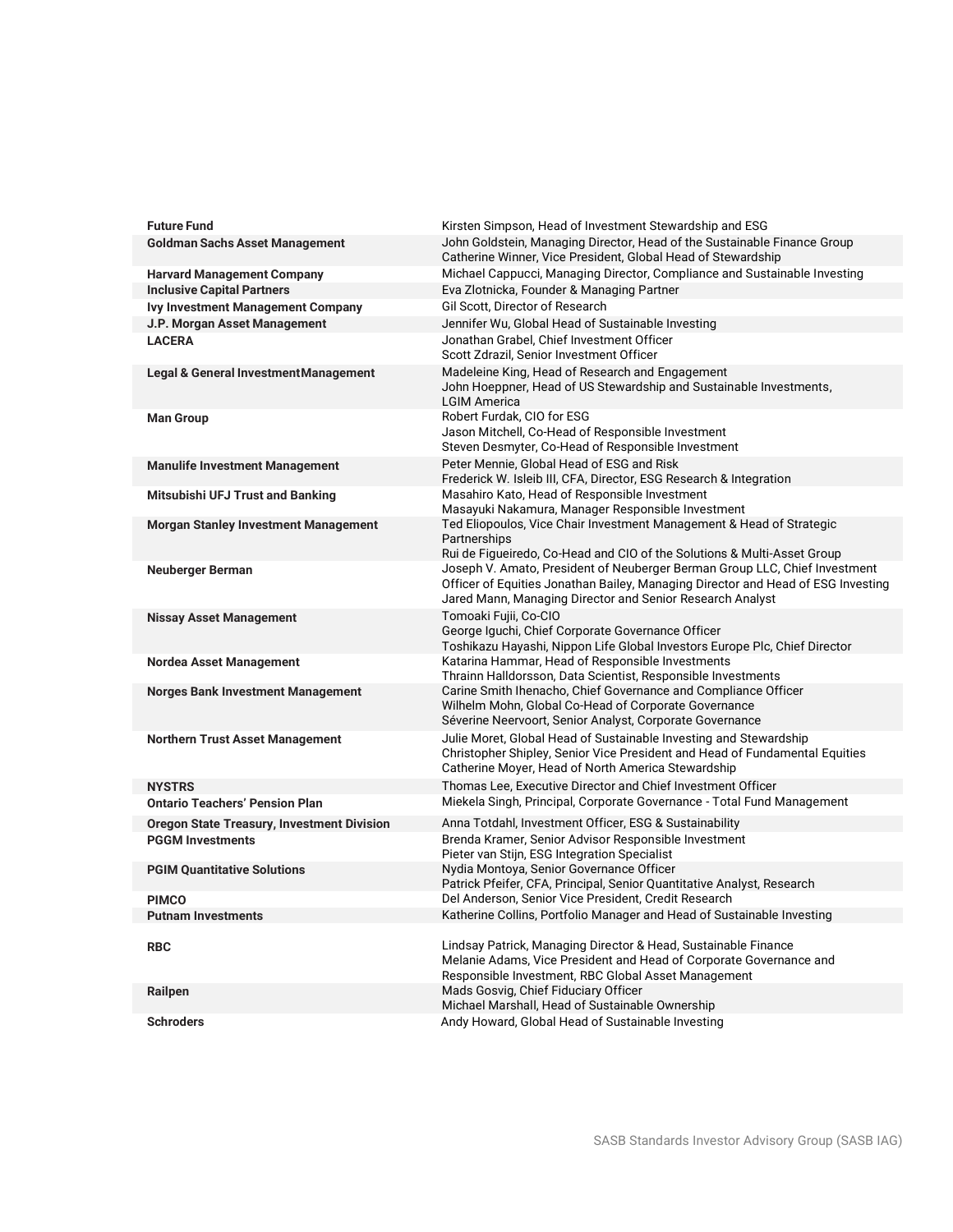| <b>Future Fund</b>                                     | Kirsten Simpson, Head of Investment Stewardship and ESG                                                                                                                                                                     |
|--------------------------------------------------------|-----------------------------------------------------------------------------------------------------------------------------------------------------------------------------------------------------------------------------|
| <b>Goldman Sachs Asset Management</b>                  | John Goldstein, Managing Director, Head of the Sustainable Finance Group<br>Catherine Winner, Vice President, Global Head of Stewardship                                                                                    |
| <b>Harvard Management Company</b>                      | Michael Cappucci, Managing Director, Compliance and Sustainable Investing                                                                                                                                                   |
| <b>Inclusive Capital Partners</b>                      | Eva Zlotnicka, Founder & Managing Partner                                                                                                                                                                                   |
| <b>Ivy Investment Management Company</b>               | Gil Scott, Director of Research                                                                                                                                                                                             |
| J.P. Morgan Asset Management                           | Jennifer Wu, Global Head of Sustainable Investing                                                                                                                                                                           |
| <b>LACERA</b>                                          | Jonathan Grabel, Chief Investment Officer<br>Scott Zdrazil, Senior Investment Officer                                                                                                                                       |
| Legal & General Investment Management                  | Madeleine King, Head of Research and Engagement<br>John Hoeppner, Head of US Stewardship and Sustainable Investments,<br><b>LGIM America</b>                                                                                |
| <b>Man Group</b>                                       | Robert Furdak, CIO for ESG<br>Jason Mitchell, Co-Head of Responsible Investment<br>Steven Desmyter, Co-Head of Responsible Investment                                                                                       |
| <b>Manulife Investment Management</b>                  | Peter Mennie, Global Head of ESG and Risk<br>Frederick W. Isleib III, CFA, Director, ESG Research & Integration                                                                                                             |
| Mitsubishi UFJ Trust and Banking                       | Masahiro Kato, Head of Responsible Investment<br>Masayuki Nakamura, Manager Responsible Investment                                                                                                                          |
| <b>Morgan Stanley Investment Management</b>            | Ted Eliopoulos, Vice Chair Investment Management & Head of Strategic<br>Partnerships<br>Rui de Figueiredo, Co-Head and CIO of the Solutions & Multi-Asset Group                                                             |
| <b>Neuberger Berman</b>                                | Joseph V. Amato, President of Neuberger Berman Group LLC, Chief Investment<br>Officer of Equities Jonathan Bailey, Managing Director and Head of ESG Investing<br>Jared Mann, Managing Director and Senior Research Analyst |
| <b>Nissay Asset Management</b>                         | Tomoaki Fujii, Co-CIO<br>George Iguchi, Chief Corporate Governance Officer<br>Toshikazu Hayashi, Nippon Life Global Investors Europe Plc, Chief Director                                                                    |
| <b>Nordea Asset Management</b>                         | Katarina Hammar, Head of Responsible Investments<br>Thrainn Halldorsson, Data Scientist, Responsible Investments                                                                                                            |
| Norges Bank Investment Management                      | Carine Smith Ihenacho, Chief Governance and Compliance Officer<br>Wilhelm Mohn, Global Co-Head of Corporate Governance<br>Séverine Neervoort, Senior Analyst, Corporate Governance                                          |
| <b>Northern Trust Asset Management</b>                 | Julie Moret, Global Head of Sustainable Investing and Stewardship<br>Christopher Shipley, Senior Vice President and Head of Fundamental Equities<br>Catherine Moyer, Head of North America Stewardship                      |
| <b>NYSTRS</b><br><b>Ontario Teachers' Pension Plan</b> | Thomas Lee. Executive Director and Chief Investment Officer<br>Miekela Singh, Principal, Corporate Governance - Total Fund Management                                                                                       |
| <b>Oregon State Treasury, Investment Division</b>      | Anna Totdahl, Investment Officer, ESG & Sustainability                                                                                                                                                                      |
| <b>PGGM Investments</b>                                | Brenda Kramer, Senior Advisor Responsible Investment<br>Pieter van Stijn, ESG Integration Specialist                                                                                                                        |
| <b>PGIM Quantitative Solutions</b>                     | Nydia Montoya, Senior Governance Officer<br>Patrick Pfeifer, CFA, Principal, Senior Quantitative Analyst, Research                                                                                                          |
| <b>PIMCO</b>                                           | Del Anderson, Senior Vice President, Credit Research                                                                                                                                                                        |
| <b>Putnam Investments</b>                              | Katherine Collins, Portfolio Manager and Head of Sustainable Investing                                                                                                                                                      |
| <b>RBC</b>                                             | Lindsay Patrick, Managing Director & Head, Sustainable Finance<br>Melanie Adams, Vice President and Head of Corporate Governance and<br>Responsible Investment, RBC Global Asset Management                                 |
| Railpen                                                | Mads Gosvig, Chief Fiduciary Officer<br>Michael Marshall, Head of Sustainable Ownership                                                                                                                                     |
| <b>Schroders</b>                                       | Andy Howard, Global Head of Sustainable Investing                                                                                                                                                                           |